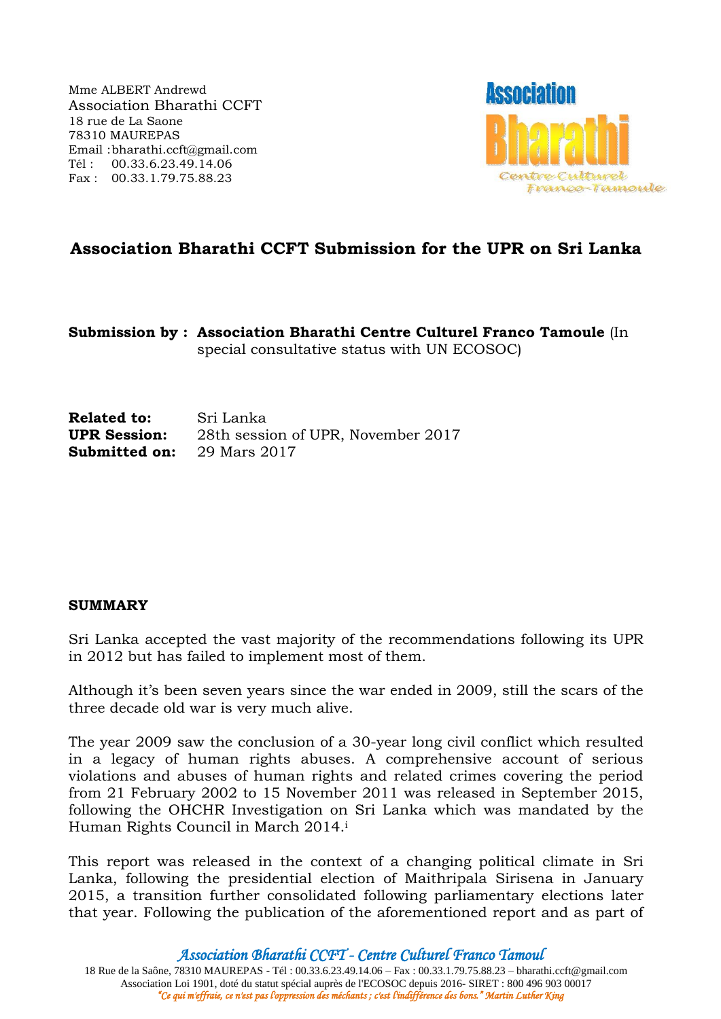Mme ALBERT Andrewd Association Bharathi CCFT 18 rue de La Saone 78310 MAUREPAS Email :bharathi.ccft@gmail.com Tél : 00.33.6.23.49.14.06 Fax : 00.33.1.79.75.88.23



# **Association Bharathi CCFT Submission for the UPR on Sri Lanka**

**Submission by : Association Bharathi Centre Culturel Franco Tamoule** (In special consultative status with UN ECOSOC)

**Related to:** Sri Lanka **UPR Session:** 28th session of UPR, November 2017 **Submitted on:** 29 Mars 2017

#### **SUMMARY**

Sri Lanka accepted the vast majority of the recommendations following its UPR in 2012 but has failed to implement most of them.

Although it's been seven years since the war ended in 2009, still the scars of the three decade old war is very much alive.

The year 2009 saw the conclusion of a 30-year long civil conflict which resulted in a legacy of human rights abuses. A comprehensive account of serious violations and abuses of human rights and related crimes covering the period from 21 February 2002 to 15 November 2011 was released in September 2015, following the OHCHR Investigation on Sri Lanka which was mandated by the Human Rights Council in March 2014.<sup>i</sup>

This report was released in the context of a changing political climate in Sri Lanka, following the presidential election of Maithripala Sirisena in January 2015, a transition further consolidated following parliamentary elections later that year. Following the publication of the aforementioned report and as part of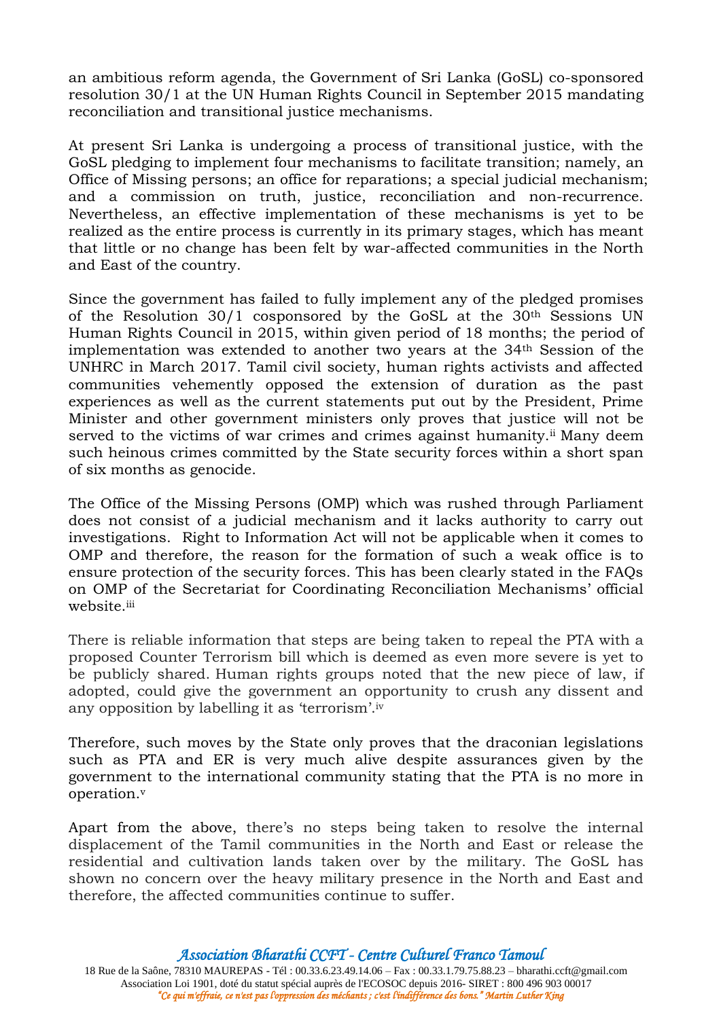an ambitious reform agenda, the Government of Sri Lanka (GoSL) co-sponsored resolution 30/1 at the UN Human Rights Council in September 2015 mandating reconciliation and transitional justice mechanisms.

At present Sri Lanka is undergoing a process of transitional justice, with the GoSL pledging to implement four mechanisms to facilitate transition; namely, an Office of Missing persons; an office for reparations; a special judicial mechanism; and a commission on truth, justice, reconciliation and non-recurrence. Nevertheless, an effective implementation of these mechanisms is yet to be realized as the entire process is currently in its primary stages, which has meant that little or no change has been felt by war-affected communities in the North and East of the country.

Since the government has failed to fully implement any of the pledged promises of the Resolution 30/1 cosponsored by the GoSL at the 30<sup>th</sup> Sessions UN Human Rights Council in 2015, within given period of 18 months; the period of implementation was extended to another two years at the 34th Session of the UNHRC in March 2017. Tamil civil society, human rights activists and affected communities vehemently opposed the extension of duration as the past experiences as well as the current statements put out by the President, Prime Minister and other government ministers only proves that justice will not be served to the victims of war crimes and crimes against humanity.<sup>ii</sup> Many deem such heinous crimes committed by the State security forces within a short span of six months as genocide.

The Office of the Missing Persons (OMP) which was rushed through Parliament does not consist of a judicial mechanism and it lacks authority to carry out investigations. Right to Information Act will not be applicable when it comes to OMP and therefore, the reason for the formation of such a weak office is to ensure protection of the security forces. This has been clearly stated in the FAQs on OMP of the Secretariat for Coordinating Reconciliation Mechanisms' official website.iii

There is reliable information that steps are being taken to repeal the PTA with a proposed Counter Terrorism bill which is deemed as even more severe is yet to be publicly shared. Human rights groups noted that the new piece of law, if adopted, could give the government an opportunity to crush any dissent and any opposition by labelling it as 'terrorism'.iv

Therefore, such moves by the State only proves that the draconian legislations such as PTA and ER is very much alive despite assurances given by the government to the international community stating that the PTA is no more in operation.<sup>v</sup>

Apart from the above, there's no steps being taken to resolve the internal displacement of the Tamil communities in the North and East or release the residential and cultivation lands taken over by the military. The GoSL has shown no concern over the heavy military presence in the North and East and therefore, the affected communities continue to suffer.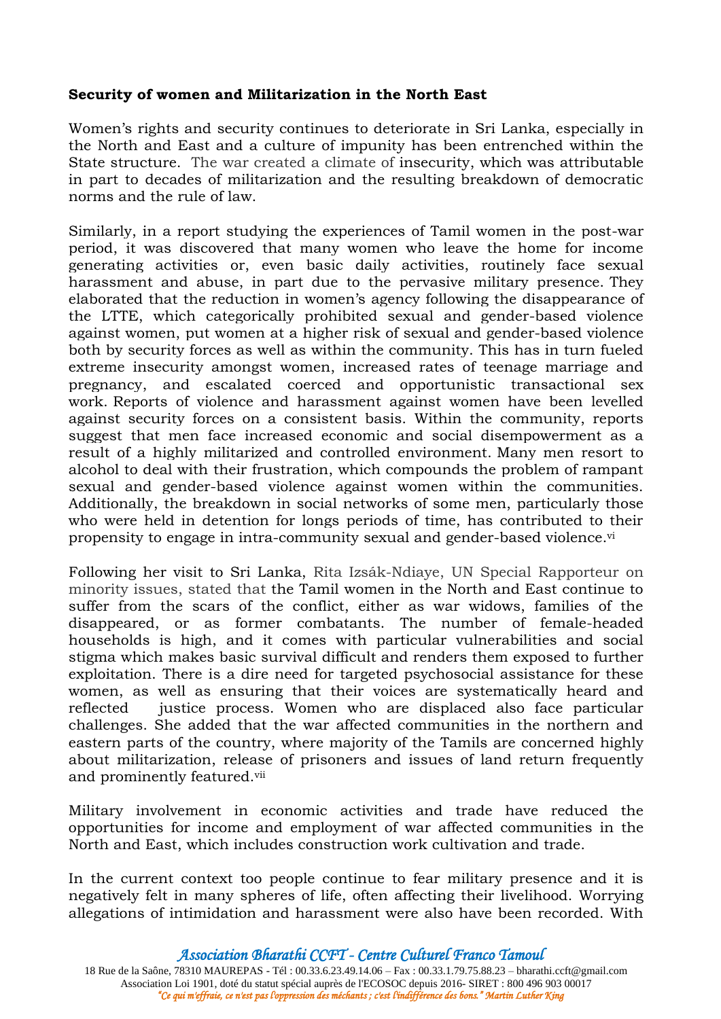# **Security of women and Militarization in the North East**

Women's rights and security continues to deteriorate in Sri Lanka, especially in the North and East and a culture of impunity has been entrenched within the State structure. The war created a climate of insecurity, which was attributable in part to decades of militarization and the resulting breakdown of democratic norms and the rule of law.

Similarly, in a report studying the experiences of Tamil women in the post-war period, it was discovered that many women who leave the home for income generating activities or, even basic daily activities, routinely face sexual harassment and abuse, in part due to the pervasive military presence. They elaborated that the reduction in women's agency following the disappearance of the LTTE, which categorically prohibited sexual and gender-based violence against women, put women at a higher risk of sexual and gender-based violence both by security forces as well as within the community. This has in turn fueled extreme insecurity amongst women, increased rates of teenage marriage and pregnancy, and escalated coerced and opportunistic transactional sex work. Reports of violence and harassment against women have been levelled against security forces on a consistent basis. Within the community, reports suggest that men face increased economic and social disempowerment as a result of a highly militarized and controlled environment. Many men resort to alcohol to deal with their frustration, which compounds the problem of rampant sexual and gender-based violence against women within the communities. Additionally, the breakdown in social networks of some men, particularly those who were held in detention for longs periods of time, has contributed to their propensity to engage in intra-community sexual and gender-based violence.<sup>vi</sup>

Following her visit to Sri Lanka, Rita Izsák-Ndiaye, UN Special Rapporteur on minority issues, stated that the Tamil women in the North and East continue to suffer from the scars of the conflict, either as war widows, families of the disappeared, or as former combatants. The number of female-headed households is high, and it comes with particular vulnerabilities and social stigma which makes basic survival difficult and renders them exposed to further exploitation. There is a dire need for targeted psychosocial assistance for these women, as well as ensuring that their voices are systematically heard and reflected justice process. Women who are displaced also face particular challenges. She added that the war affected communities in the northern and eastern parts of the country, where majority of the Tamils are concerned highly about militarization, release of prisoners and issues of land return frequently and prominently featured.vii

Military involvement in economic activities and trade have reduced the opportunities for income and employment of war affected communities in the North and East, which includes construction work cultivation and trade.

In the current context too people continue to fear military presence and it is negatively felt in many spheres of life, often affecting their livelihood. Worrying allegations of intimidation and harassment were also have been recorded. With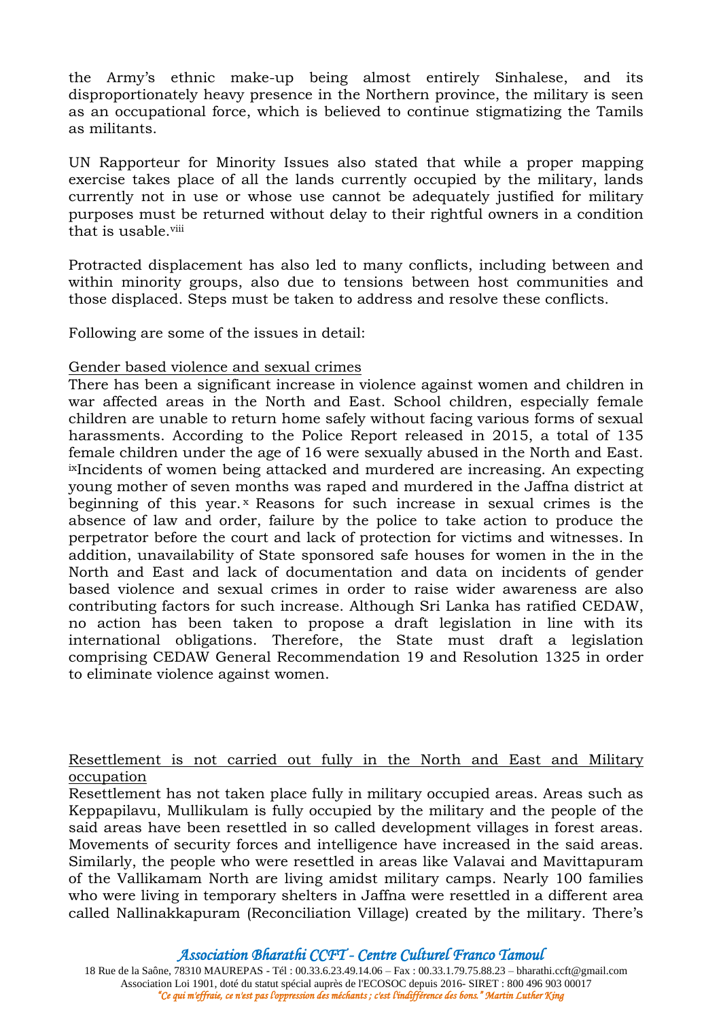the Army's ethnic make-up being almost entirely Sinhalese, and its disproportionately heavy presence in the Northern province, the military is seen as an occupational force, which is believed to continue stigmatizing the Tamils as militants.

UN Rapporteur for Minority Issues also stated that while a proper mapping exercise takes place of all the lands currently occupied by the military, lands currently not in use or whose use cannot be adequately justified for military purposes must be returned without delay to their rightful owners in a condition that is usable.viii

Protracted displacement has also led to many conflicts, including between and within minority groups, also due to tensions between host communities and those displaced. Steps must be taken to address and resolve these conflicts.

Following are some of the issues in detail:

## Gender based violence and sexual crimes

There has been a significant increase in violence against women and children in war affected areas in the North and East. School children, especially female children are unable to return home safely without facing various forms of sexual harassments. According to the Police Report released in 2015, a total of 135 female children under the age of 16 were sexually abused in the North and East. ixIncidents of women being attacked and murdered are increasing. An expecting young mother of seven months was raped and murdered in the Jaffna district at beginning of this year.<sup>x</sup> Reasons for such increase in sexual crimes is the absence of law and order, failure by the police to take action to produce the perpetrator before the court and lack of protection for victims and witnesses. In addition, unavailability of State sponsored safe houses for women in the in the North and East and lack of documentation and data on incidents of gender based violence and sexual crimes in order to raise wider awareness are also contributing factors for such increase. Although Sri Lanka has ratified CEDAW, no action has been taken to propose a draft legislation in line with its international obligations. Therefore, the State must draft a legislation comprising CEDAW General Recommendation 19 and Resolution 1325 in order to eliminate violence against women.

## Resettlement is not carried out fully in the North and East and Military occupation

Resettlement has not taken place fully in military occupied areas. Areas such as Keppapilavu, Mullikulam is fully occupied by the military and the people of the said areas have been resettled in so called development villages in forest areas. Movements of security forces and intelligence have increased in the said areas. Similarly, the people who were resettled in areas like Valavai and Mavittapuram of the Vallikamam North are living amidst military camps. Nearly 100 families who were living in temporary shelters in Jaffna were resettled in a different area called Nallinakkapuram (Reconciliation Village) created by the military. There's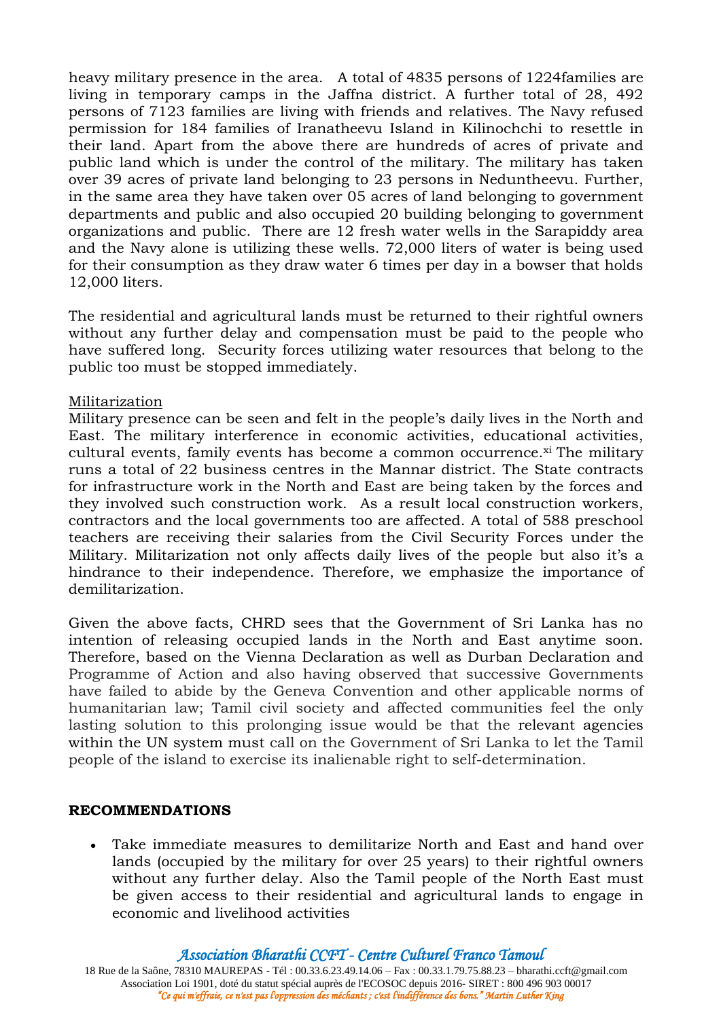heavy military presence in the area. A total of 4835 persons of 1224families are living in temporary camps in the Jaffna district. A further total of 28, 492 persons of 7123 families are living with friends and relatives. The Navy refused permission for 184 families of Iranatheevu Island in Kilinochchi to resettle in their land. Apart from the above there are hundreds of acres of private and public land which is under the control of the military. The military has taken over 39 acres of private land belonging to 23 persons in Neduntheevu. Further, in the same area they have taken over 05 acres of land belonging to government departments and public and also occupied 20 building belonging to government organizations and public. There are 12 fresh water wells in the Sarapiddy area and the Navy alone is utilizing these wells. 72,000 liters of water is being used for their consumption as they draw water 6 times per day in a bowser that holds 12,000 liters.

The residential and agricultural lands must be returned to their rightful owners without any further delay and compensation must be paid to the people who have suffered long. Security forces utilizing water resources that belong to the public too must be stopped immediately.

## Militarization

Military presence can be seen and felt in the people's daily lives in the North and East. The military interference in economic activities, educational activities, cultural events, family events has become a common occurrence.<sup>xi</sup> The military runs a total of 22 business centres in the Mannar district. The State contracts for infrastructure work in the North and East are being taken by the forces and they involved such construction work. As a result local construction workers, contractors and the local governments too are affected. A total of 588 preschool teachers are receiving their salaries from the Civil Security Forces under the Military. Militarization not only affects daily lives of the people but also it's a hindrance to their independence. Therefore, we emphasize the importance of demilitarization.

Given the above facts, CHRD sees that the Government of Sri Lanka has no intention of releasing occupied lands in the North and East anytime soon. Therefore, based on the Vienna Declaration as well as Durban Declaration and Programme of Action and also having observed that successive Governments have failed to abide by the Geneva Convention and other applicable norms of humanitarian law; Tamil civil society and affected communities feel the only lasting solution to this prolonging issue would be that the relevant agencies within the UN system must call on the Government of Sri Lanka to let the Tamil people of the island to exercise its inalienable right to self-determination.

#### **RECOMMENDATIONS**

 Take immediate measures to demilitarize North and East and hand over lands (occupied by the military for over 25 years) to their rightful owners without any further delay. Also the Tamil people of the North East must be given access to their residential and agricultural lands to engage in economic and livelihood activities

*Association Bharathi CCFT - Centre Culturel Franco Tamoul*

18 Rue de la Saône, 78310 MAUREPAS - Tél : 00.33.6.23.49.14.06 – Fax : 00.33.1.79.75.88.23 – bharathi.ccft@gmail.com Association Loi 1901, doté du statut spécial auprès de l'ECOSOC depuis 2016- SIRET : 800 496 903 00017 *"Ce qui m'effraie, ce n'est pas l'oppression des méchants ; c'est l'indifférence des bons." Martin Luther King*